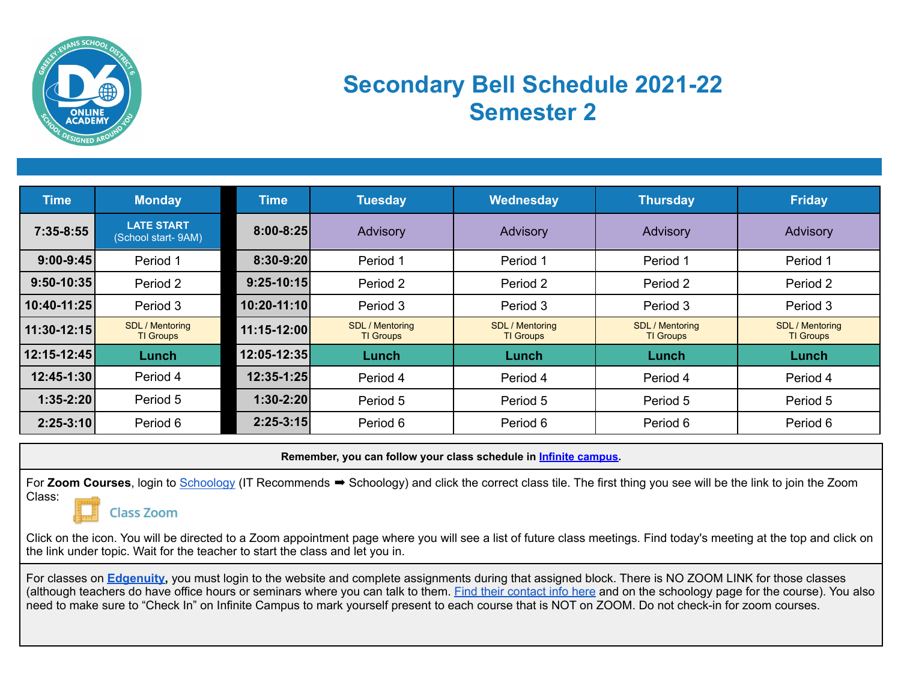

## **Secondary Bell Schedule 2021-22 Semester 2**

| <b>Time</b>   | <b>Monday</b>                              | <b>Time</b>   | <b>Tuesday</b>                             | Wednesday                    | <b>Thursday</b>                            | Friday                                     |
|---------------|--------------------------------------------|---------------|--------------------------------------------|------------------------------|--------------------------------------------|--------------------------------------------|
| $7:35-8:55$   | <b>LATE START</b><br>(School start-9AM)    | $8:00 - 8:25$ | Advisory                                   | Advisory                     | Advisory                                   | Advisory                                   |
| $9:00 - 9:45$ | Period 1                                   | $8:30 - 9:20$ | Period 1                                   | Period 1                     | Period 1                                   | Period 1                                   |
| $9:50-10:35$  | Period 2                                   | $9:25-10:15$  | Period 2                                   | Period 2                     | Period 2                                   | Period 2                                   |
| 10:40-11:25   | Period 3                                   | 10:20-11:10   | Period 3                                   | Period 3                     | Period 3                                   | Period 3                                   |
| 11:30-12:15   | <b>SDL / Mentoring</b><br><b>TI Groups</b> | 11:15-12:00   | <b>SDL / Mentoring</b><br><b>TI Groups</b> | SDL / Mentoring<br>TI Groups | <b>SDL / Mentoring</b><br><b>TI Groups</b> | <b>SDL</b> / Mentoring<br><b>TI Groups</b> |
| 12:15-12:45   | Lunch                                      | 12:05-12:35   | Lunch                                      | Lunch                        | Lunch                                      | Lunch                                      |
| 12:45-1:30    | Period 4                                   | 12:35-1:25    | Period 4                                   | Period 4                     | Period 4                                   | Period 4                                   |
| $1:35-2:20$   | Period 5                                   | $1:30-2:20$   | Period 5                                   | Period 5                     | Period 5                                   | Period 5                                   |
| $2:25-3:10$   | Period 6                                   | $2:25-3:15$   | Period 6                                   | Period 6                     | Period 6                                   | Period 6                                   |

**Remember, you can follow your class schedule in Infinite [campus.](https://si.greeleyschools.org/campus/portal/greeley.jsp)**

For Zoom Courses, login to [Schoology](https://elearning.greeleyschools.org/#/?_k=kx18fz) (IT Recommends → Schoology) and click the correct class tile. The first thing you see will be the link to join the Zoom Class:

**Class Zoom** 

Click on the icon. You will be directed to a Zoom appointment page where you will see a list of future class meetings. Find today's meeting at the top and click on the link under topic. Wait for the teacher to start the class and let you in.

For classes on **[Edgenuity](https://auth.edgenuity.com/Login/Login/Student),** you must login to the website and complete assignments during that assigned block. There is NO ZOOM LINK for those classes (although teachers do have office hours or seminars where you can talk to them. [Find their contact info](https://docs.google.com/document/d/1aAHzk5n2Q24mLv_ictBEBD9AUWROQnfSu4zLTTVZe4c/edit?usp=sharing) here and on the schoology page for the course). You also need to make sure to "Check In" on Infinite Campus to mark yourself present to each course that is NOT on ZOOM. Do not check-in for zoom courses.